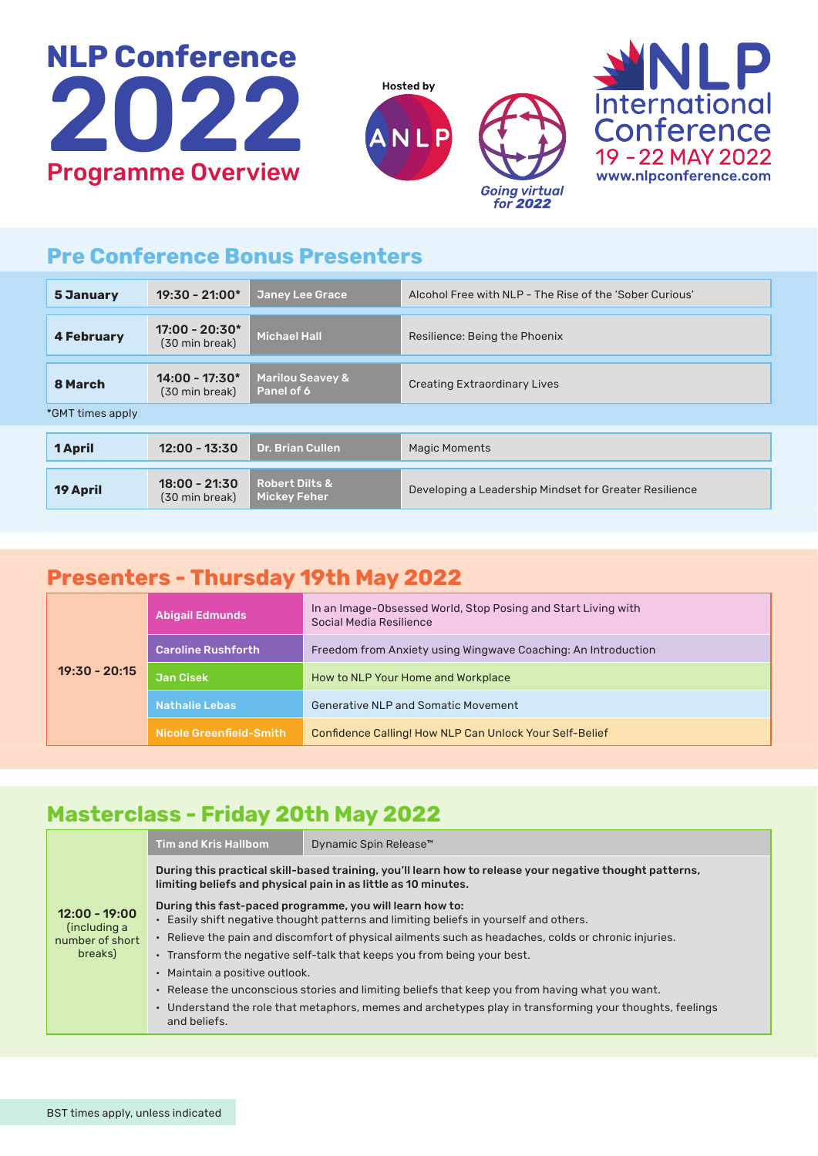





## **Pre Conference Bonus Presenters**

| 5 January         | $19:30 - 21:00*$                   | <b>Janey Lee Grace</b>                           | Alcohol Free with NLP - The Rise of the 'Sober Curious' |  |
|-------------------|------------------------------------|--------------------------------------------------|---------------------------------------------------------|--|
| <b>4 February</b> | $17:00 - 20:30*$<br>(30 min break) | <b>Michael Hall</b>                              | Resilience: Being the Phoenix                           |  |
| 8 March           | $14:00 - 17:30*$<br>(30 min break) | <b>Marilou Seavey &amp;</b><br>Panel of 6        | <b>Creating Extraordinary Lives</b>                     |  |
| *GMT times apply  |                                    |                                                  |                                                         |  |
| <b>1 April</b>    | $12:00 - 13:30$                    | <b>Dr. Brian Cullen</b>                          | <b>Magic Moments</b>                                    |  |
| <b>19 April</b>   | $18:00 - 21:30$<br>(30 min break)  | <b>Robert Dilts &amp;</b><br><b>Mickey Feher</b> | Developing a Leadership Mindset for Greater Resilience  |  |

#### **Presenters - Thursday 19th May 2022**

| $19:30 - 20:15$ | <b>Abigail Edmunds</b>    | In an Image-Obsessed World, Stop Posing and Start Living with<br>Social Media Resilience |
|-----------------|---------------------------|------------------------------------------------------------------------------------------|
|                 | <b>Caroline Rushforth</b> | Freedom from Anxiety using Wingwave Coaching: An Introduction                            |
|                 | <b>Jan Cisek</b>          | How to NLP Your Home and Workplace                                                       |
|                 | <b>Nathalie Lebas</b>     | Generative NLP and Somatic Movement                                                      |
|                 | Nicole Greenfield-Smith   | Confidence Calling! How NLP Can Unlock Your Self-Belief                                  |

## **Masterclass - Friday 20th May 2022**

| $12:00 - 19:00$<br>(including a<br>number of short<br>breaks) | <b>Tim and Kris Hallbom</b>                                                                                                                                                                                                                                                                                                                                                                                                                                                                                                                                                                          | Dynamic Spin Release™ |  |  |  |
|---------------------------------------------------------------|------------------------------------------------------------------------------------------------------------------------------------------------------------------------------------------------------------------------------------------------------------------------------------------------------------------------------------------------------------------------------------------------------------------------------------------------------------------------------------------------------------------------------------------------------------------------------------------------------|-----------------------|--|--|--|
|                                                               | During this practical skill-based training, you'll learn how to release your negative thought patterns,<br>limiting beliefs and physical pain in as little as 10 minutes.                                                                                                                                                                                                                                                                                                                                                                                                                            |                       |  |  |  |
|                                                               | During this fast-paced programme, you will learn how to:<br>. Easily shift negative thought patterns and limiting beliefs in yourself and others.<br>· Relieve the pain and discomfort of physical ailments such as headaches, colds or chronic injuries.<br>. Transform the negative self-talk that keeps you from being your best.<br>• Maintain a positive outlook.<br>• Release the unconscious stories and limiting beliefs that keep you from having what you want.<br>• Understand the role that metaphors, memes and archetypes play in transforming your thoughts, feelings<br>and beliefs. |                       |  |  |  |
|                                                               |                                                                                                                                                                                                                                                                                                                                                                                                                                                                                                                                                                                                      |                       |  |  |  |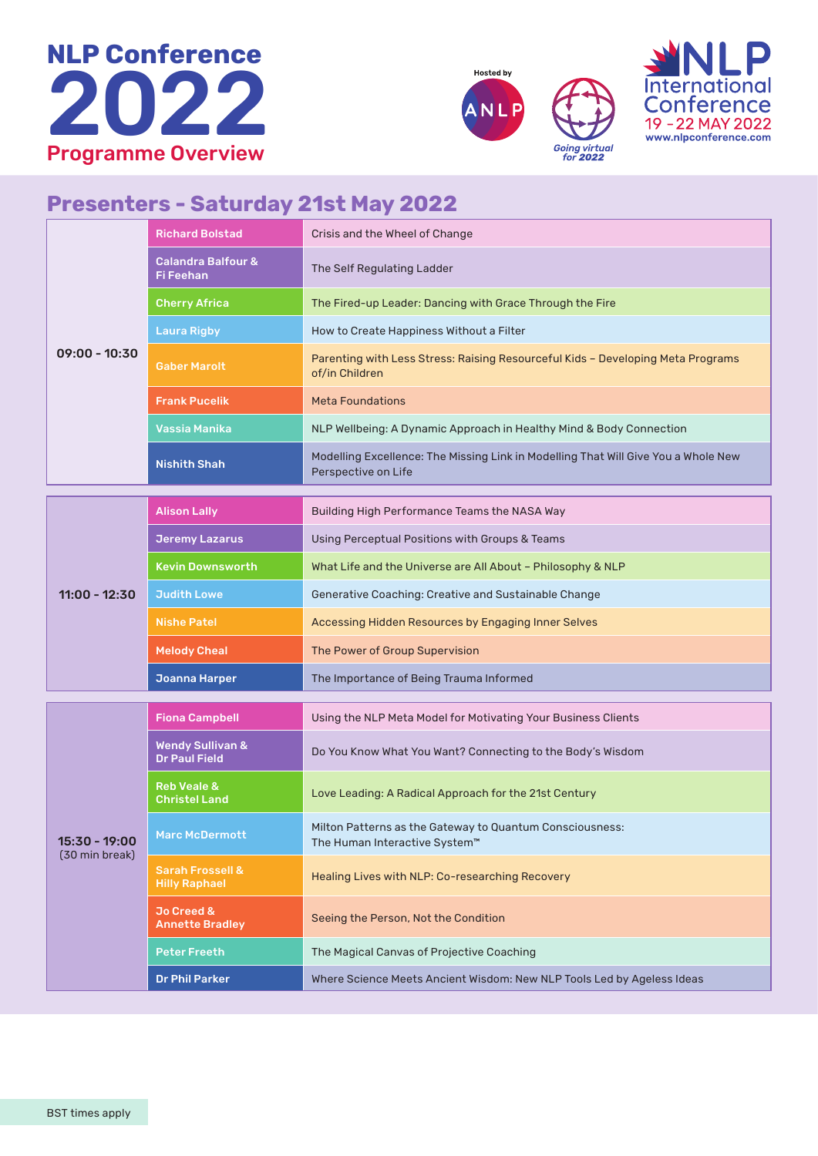





#### **Presenters - Saturday 21st May 2022**

|                                 | <b>Richard Bolstad</b>                              | Crisis and the Wheel of Change                                                                            |
|---------------------------------|-----------------------------------------------------|-----------------------------------------------------------------------------------------------------------|
|                                 | <b>Calandra Balfour &amp;</b><br>Fi Feehan          | The Self Regulating Ladder                                                                                |
|                                 | <b>Cherry Africa</b>                                | The Fired-up Leader: Dancing with Grace Through the Fire                                                  |
|                                 | <b>Laura Rigby</b>                                  | How to Create Happiness Without a Filter                                                                  |
| $09:00 - 10:30$                 | <b>Gaber Marolt</b>                                 | Parenting with Less Stress: Raising Resourceful Kids - Developing Meta Programs<br>of/in Children         |
|                                 | <b>Frank Pucelik</b>                                | <b>Meta Foundations</b>                                                                                   |
|                                 | Vassia Manika                                       | NLP Wellbeing: A Dynamic Approach in Healthy Mind & Body Connection                                       |
|                                 | <b>Nishith Shah</b>                                 | Modelling Excellence: The Missing Link in Modelling That Will Give You a Whole New<br>Perspective on Life |
|                                 | <b>Alison Lally</b>                                 | Building High Performance Teams the NASA Way                                                              |
|                                 | <b>Jeremy Lazarus</b>                               | Using Perceptual Positions with Groups & Teams                                                            |
|                                 | Kevin Downsworth                                    | What Life and the Universe are All About - Philosophy & NLP                                               |
| $11:00 - 12:30$                 | <b>Judith Lowe</b>                                  | Generative Coaching: Creative and Sustainable Change                                                      |
|                                 | <b>Nishe Patel</b>                                  | Accessing Hidden Resources by Engaging Inner Selves                                                       |
|                                 | <b>Melody Cheal</b>                                 | The Power of Group Supervision                                                                            |
|                                 | <b>Joanna Harper</b>                                | The Importance of Being Trauma Informed                                                                   |
| 15:30 - 19:00<br>(30 min break) | <b>Fiona Campbell</b>                               | Using the NLP Meta Model for Motivating Your Business Clients                                             |
|                                 | <b>Wendy Sullivan &amp;</b><br><b>Dr Paul Field</b> | Do You Know What You Want? Connecting to the Body's Wisdom                                                |
|                                 | <b>Reb Veale &amp;</b><br><b>Christel Land</b>      | Love Leading: A Radical Approach for the 21st Century                                                     |
|                                 | <b>Marc McDermott</b>                               | Milton Patterns as the Gateway to Quantum Consciousness:<br>The Human Interactive System™                 |
|                                 | <b>Sarah Frossell &amp;</b><br><b>Hilly Raphael</b> | Healing Lives with NLP: Co-researching Recovery                                                           |
|                                 | Jo Creed &<br><b>Annette Bradley</b>                | Seeing the Person, Not the Condition                                                                      |
|                                 | <b>Peter Freeth</b>                                 | The Magical Canvas of Projective Coaching                                                                 |
|                                 | <b>Dr Phil Parker</b>                               | Where Science Meets Ancient Wisdom: New NLP Tools Led by Ageless Ideas                                    |